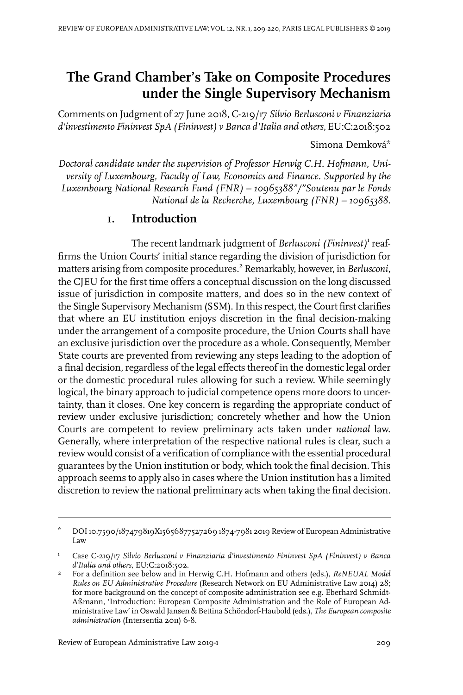# **The Grand Chamber's Take on Composite Procedures under the Single Supervisory Mechanism**

Comments on Judgment of 27 June 2018, C-219/17 *Silvio Berlusconi v Finanziaria d'investimento Fininvest SpA (Fininvest) v Banca d'Italia and others*, EU:C:2018:502

Simona Demková\*

*Doctoral candidate under the supervision of Professor Herwig C.H. Hofmann, University of Luxembourg, Faculty of Law, Economics and Finance. Supported by the Luxembourg National Research Fund (FNR) – 10965388"/"Soutenu par le Fonds National de la Recherche, Luxembourg (FNR) – 10965388.*

### **1. Introduction**

The recent landmark judgment of *Berlusconi (Fininvest)*<sup>1</sup> reaffirms the Union Courts' initial stance regarding the division of jurisdiction for matters arising from composite procedures.<sup>2</sup> Remarkably, however, in *Berlusconi*, the CJEU for the first time offers a conceptual discussion on the long discussed issue of jurisdiction in composite matters, and does so in the new context of the Single Supervisory Mechanism (SSM). In this respect, the Court first clarifies that where an EU institution enjoys discretion in the final decision-making under the arrangement of a composite procedure, the Union Courts shall have an exclusive jurisdiction over the procedure as a whole. Consequently, Member State courts are prevented from reviewing any steps leading to the adoption of a final decision, regardless of the legal effects thereof in the domestic legal order or the domestic procedural rules allowing for such a review. While seemingly logical, the binary approach to judicial competence opens more doors to uncertainty, than it closes. One key concern is regarding the appropriate conduct of review under exclusive jurisdiction; concretely whether and how the Union Courts are competent to review preliminary acts taken under *national* law. Generally, where interpretation of the respective national rules is clear, such a review would consist of a verification of compliance with the essential procedural guarantees by the Union institution or body, which took the final decision. This approach seems to apply also in cases where the Union institution has a limited discretion to review the national preliminary acts when taking the final decision.

DOI10.7590/187479819X15656877527269 1874-7981 2019 Review of European Administrative Law \*

Case C-219/17 *Silvio Berlusconi v Finanziaria d'investimento Fininvest SpA (Fininvest) v Banca d'Italia and others*, EU:C:2018:502. 1

For a definition see below and in Herwig C.H. Hofmann and others (eds.), *ReNEUAL Model Rules on EU Administrative Procedure* (Research Network on EU Administrative Law 2014) 28; 2 for more background on the concept of composite administration see e.g. Eberhard Schmidt-Aßmann, 'Introduction: European Composite Administration and the Role of European Administrative Law' in Oswald Jansen & Bettina Schöndorf-Haubold (eds.), *The European composite administration* (Intersentia 2011) 6-8.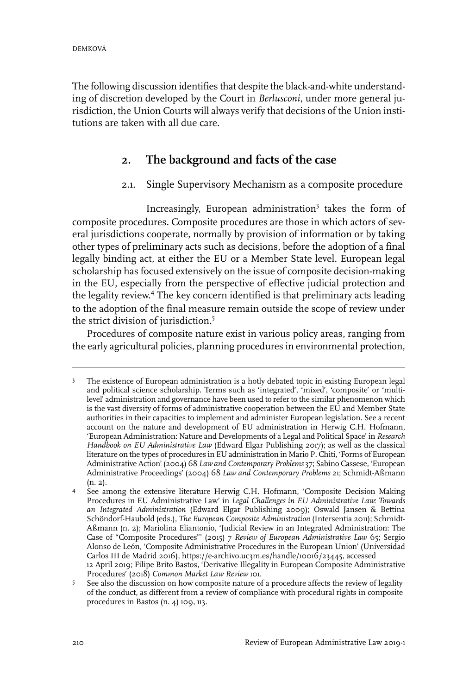The following discussion identifies that despite the black-and-white understanding of discretion developed by the Court in *Berlusconi*, under more general jurisdiction, the Union Courts will always verify that decisions of the Union institutions are taken with all due care.

# **2. The background and facts of the case**

#### 2.1. Single Supervisory Mechanism as a composite procedure

Increasingly, European administration<sup>3</sup> takes the form of composite procedures. Composite procedures are those in which actors of several jurisdictions cooperate, normally by provision of information or by taking other types of preliminary acts such as decisions, before the adoption of a final legally binding act, at either the EU or a Member State level. European legal scholarship has focused extensively on the issue of composite decision-making in the EU, especially from the perspective of effective judicial protection and the legality review.<sup>4</sup> The key concern identified is that preliminary acts leading to the adoption of the final measure remain outside the scope of review under the strict division of jurisdiction.<sup>5</sup>

Procedures of composite nature exist in various policy areas, ranging from the early agricultural policies, planning procedures in environmental protection,

The existence of European administration is a hotly debated topic in existing European legal and political science scholarship. Terms such as 'integrated', 'mixed', 'composite' or 'multi-3 level' administration and governance have been used to refer to the similar phenomenon which is the vast diversity of forms of administrative cooperation between the  $E\dot{U}$  and Member State authorities in their capacities to implement and administer European legislation. See a recent account on the nature and development of EU administration in Herwig C.H. Hofmann, 'European Administration: Nature and Developments of a Legal and Political Space' in *Research Handbook on EU Administrative Law* (Edward Elgar Publishing 2017); as well as the classical literature on the types of procedures in EU administration in Mario P. Chiti, 'Forms of European Administrative Action' (2004) 68 *Law and Contemporary Problems* 37; Sabino Cassese, 'European Administrative Proceedings' (2004) 68 *Law and Contemporary Problems* 21; Schmidt-Aßmann (n. 2).

See among the extensive literature Herwig C.H. Hofmann, 'Composite Decision Making Procedures in EU Administrative Law' in *Legal Challenges in EU Administrative Law: Towards* 4 *an Integrated Administration* (Edward Elgar Publishing 2009); Oswald Jansen & Bettina Schöndorf-Haubold (eds.), *The European Composite Administration* (Intersentia 2011); Schmidt-Aßmann (n. 2); Mariolina Eliantonio, 'Judicial Review in an Integrated Administration: The Case of "Composite Procedures"' (2015) 7 *Review of European Administrative Law* 65; Sergio Alonso de León, 'Composite Administrative Procedures in the European Union' (Universidad Carlos III de Madrid 2016), https://e-archivo.uc3m.es/handle/10016/23445, accessed 12 April 2019; Filipe Brito Bastos, 'Derivative Illegality in European Composite Administrative Procedures' (2018) *Common Market Law Review* 101.

See also the discussion on how composite nature of a procedure affects the review of legality of the conduct, as different from a review of compliance with procedural rights in composite procedures in Bastos (n. 4) 109, 113. 5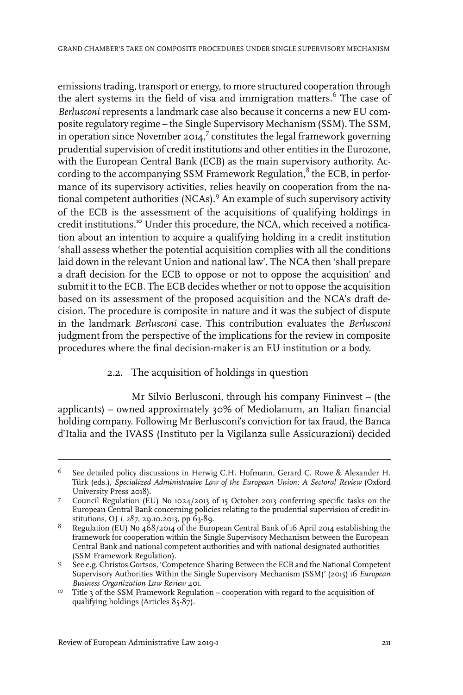emissions trading, transport or energy, to more structured cooperation through the alert systems in the field of visa and immigration matters.<sup>6</sup> The case of *Berlusconi* represents a landmark case also because it concerns a new EU composite regulatory regime – the Single Supervisory Mechanism (SSM). The SSM, in operation since November 2014, $^7$  constitutes the legal framework governing prudential supervision of credit institutions and other entities in the Eurozone, with the European Central Bank (ECB) as the main supervisory authority. According to the accompanying SSM Framework Regulation, $^8$  the ECB, in performance of its supervisory activities, relies heavily on cooperation from the national competent authorities (NCAs).<sup>9</sup> An example of such supervisory activity of the ECB is the assessment of the acquisitions of qualifying holdings in credit institutions.<sup>10</sup> Under this procedure, the NCA, which received a notification about an intention to acquire a qualifying holding in a credit institution 'shall assess whether the potential acquisition complies with all the conditions laid down in the relevant Union and national law'. The NCA then 'shall prepare a draft decision for the ECB to oppose or not to oppose the acquisition' and submit it to the ECB. The ECB decides whether or not to oppose the acquisition based on its assessment of the proposed acquisition and the NCA's draft decision. The procedure is composite in nature and it was the subject of dispute in the landmark *Berlusconi* case. This contribution evaluates the *Berlusconi* judgment from the perspective of the implications for the review in composite procedures where the final decision-maker is an EU institution or a body.

#### 2.2. The acquisition of holdings in question

Mr Silvio Berlusconi, through his company Fininvest – (the applicants) – owned approximately 30% of Mediolanum, an Italian financial holding company. Following Mr Berlusconi's conviction for tax fraud, the Banca d'Italia and the IVASS (Instituto per la Vigilanza sulle Assicurazioni) decided

See detailed policy discussions in Herwig C.H. Hofmann, Gerard C. Rowe & Alexander H. Türk (eds.), *Specialized Administrative Law of the European Union: A Sectoral Review* (Oxford University Press 2018). 6

Council Regulation (EU) No 1024/2013 of 15 October 2013 conferring specific tasks on the 7 European Central Bank concerning policies relating to the prudential supervision of credit institutions, OJ *L 287*, 29.10.2013, pp 63-89.

Regulation (EU) No 468/2014 of the European Central Bank of 16 April 2014 establishing the framework for cooperation within the Single Supervisory Mechanism between the European 8 Central Bank and national competent authorities and with national designated authorities (SSM Framework Regulation).

<sup>9</sup> See e.g. Christos Gortsos, 'Competence Sharing Between the ECB and the National Competent Supervisory Authorities Within the Single Supervisory Mechanism (SSM)' (2015) 16 *European Business Organization Law Review* 401.

<sup>&</sup>lt;sup>10</sup> Title 3 of the SSM Framework Regulation – cooperation with regard to the acquisition of qualifying holdings (Articles 85-87).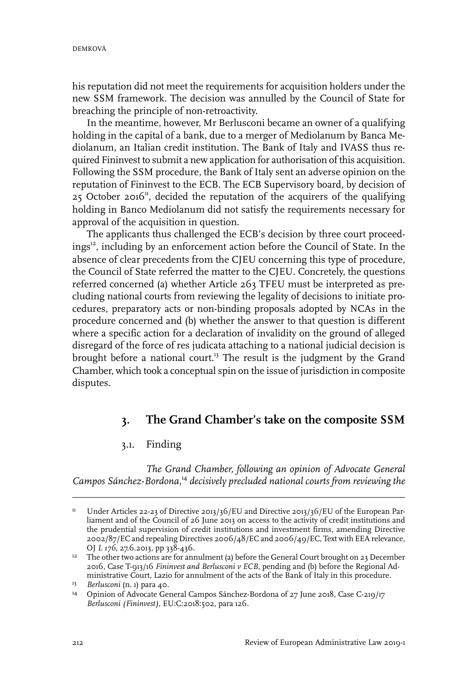his reputation did not meet the requirements for acquisition holders under the new SSM framework. The decision was annulled by the Council of State for breaching the principle of non-retroactivity.

In the meantime, however, Mr Berlusconi became an owner of a qualifying holding in the capital of a bank, due to a merger of Mediolanum by Banca Mediolanum, an Italian credit institution. The Bank of Italy and IVASS thus required Fininvest to submit a new application for authorisation of this acquisition. Following the SSM procedure, the Bank of Italy sent an adverse opinion on the reputation of Fininvest to the ECB. The ECB Supervisory board, by decision of 25 October 2016<sup>11</sup>, decided the reputation of the acquirers of the qualifying holding in Banco Mediolanum did not satisfy the requirements necessary for approval of the acquisition in question.

The applicants thus challenged the ECB's decision by three court proceedings<sup>12</sup>, including by an enforcement action before the Council of State. In the absence of clear precedents from the CJEU concerning this type of procedure, the Council of State referred the matter to the CJEU. Concretely, the questions referred concerned (a) whether Article 263 TFEU must be interpreted as precluding national courts from reviewing the legality of decisions to initiate procedures, preparatory acts or non-binding proposals adopted by NCAs in the procedure concerned and (b) whether the answer to that question is different where a specific action for a declaration of invalidity on the ground of alleged disregard of the force of res judicata attaching to a national judicial decision is brought before a national court.<sup>13</sup> The result is the judgment by the Grand Chamber, which took a conceptual spin on the issue of jurisdiction in composite disputes.

# **3. The Grand Chamber's take on the composite SSM**

#### 3.1. Finding

*The Grand Chamber, following an opinion of Advocate General Campos Sánchez*-*Bordona,*<sup>14</sup> *decisively precluded national courts from reviewing the*

Under Articles 22-23 of Directive 2013/36/EU and Directive 2013/36/EU of the European Parliament and of the Council of 26 June 2013 on access to the activity of credit institutions and 11 the prudential supervision of credit institutions and investment firms, amending Directive  $2002/87/EC$  and repealing Directives  $200/48/EC$  and  $200/49/EC$ , Text with EEA relevance, OJ *L 176*, 27.6.2013, pp 338-436.

<sup>&</sup>lt;sup>12</sup> The other two actions are for annulment (a) before the General Court brought on 23 December 2016, Case T-913/16 *Fininvest and Berlusconi v ECB*, pending and (b) before the Regional Administrative Court, Lazio for annulment of the acts of the Bank of Italy in this procedure.

<sup>&</sup>lt;sup>13</sup> Berlusconi (n. 1) para 40.

<sup>&</sup>lt;sup>14</sup> Opinion of Advocate General Campos Sánchez-Bordona of 27 June 2018, Case C-219/17 *Berlusconi (Fininvest)*, EU:C:2018:502, para 126.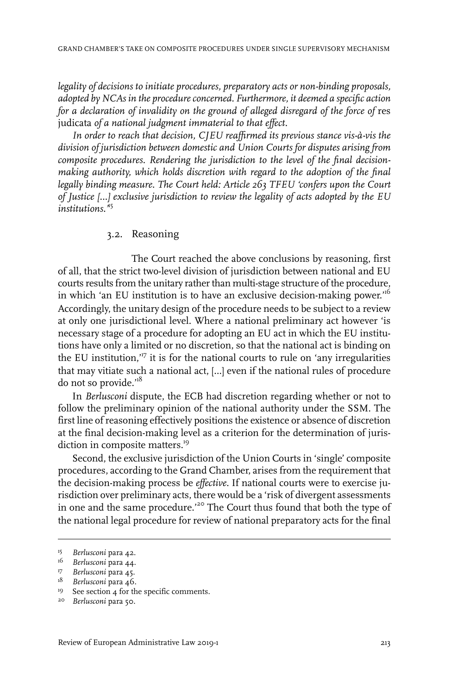*legality of decisions to initiate procedures, preparatory acts or non-binding proposals, adopted by NCAs in the procedureconcerned. Furthermore, it deemed a specific action for a declaration of invalidity on the ground of alleged disregard of the force of* res judicata *of a national judgment immaterial to that effect.*

*In order to reach that decision, CJEU reaffirmed its previous stance vis-à-vis the division of jurisdiction between domestic and Union Courts for disputes arising from composite procedures. Rendering the jurisdiction to the level of the final decisionmaking authority, which holds discretion with regard to the adoption of the final legally binding measure. The Court held: Article 263 TFEU 'confers upon the Court of Justice […] exclusive jurisdiction to review the legality of acts adopted by the EU institutions.'*<sup>15</sup>

#### 3.2. Reasoning

The Court reached the above conclusions by reasoning, first of all, that the strict two-level division of jurisdiction between national and EU courts results from the unitary rather than multi-stage structure of the procedure, in which 'an EU institution is to have an exclusive decision-making power.<sup>16</sup> Accordingly, the unitary design of the procedure needs to be subject to a review at only one jurisdictional level. Where a national preliminary act however 'is necessary stage of a procedure for adopting an EU act in which the EU institutions have only a limited or no discretion, so that the national act is binding on the EU institution, $17$  it is for the national courts to rule on 'any irregularities that may vitiate such a national act, […] even if the national rules of procedure do not so provide.'<sup>18</sup>

In *Berlusconi* dispute, the ECB had discretion regarding whether or not to follow the preliminary opinion of the national authority under the SSM. The first line of reasoning effectively positions the existence or absence of discretion at the final decision-making level as a criterion for the determination of jurisdiction in composite matters.<sup>19</sup>

Second, the exclusive jurisdiction of the Union Courts in 'single' composite procedures, according to the Grand Chamber, arises from the requirement that the decision-making process be *effective*. If national courts were to exercise jurisdiction over preliminary acts, there would be a 'risk of divergent assessments in one and the same procedure.<sup>'20</sup> The Court thus found that both the type of the national legal procedure for review of national preparatory acts for the final

<sup>&</sup>lt;sup>15</sup> Berlusconi para 42.

<sup>&</sup>lt;sup>16</sup> Berlusconi para 44.

<sup>&</sup>lt;sup>17</sup> Berlusconi para 45.

<sup>&</sup>lt;sup>18</sup> Berlusconi para 46.

<sup>&</sup>lt;sup>19</sup> See section 4 for the specific comments.

<sup>&</sup>lt;sup>20</sup> Berlusconi para 50.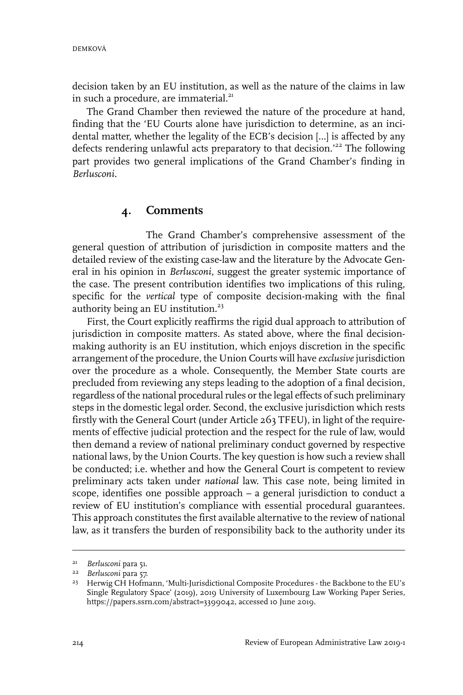decision taken by an EU institution, as well as the nature of the claims in law in such a procedure, are immaterial.<sup>21</sup>

The Grand Chamber then reviewed the nature of the procedure at hand, finding that the 'EU Courts alone have jurisdiction to determine, as an incidental matter, whether the legality of the ECB's decision […] is affected by any defects rendering unlawful acts preparatory to that decision.<sup>222</sup> The following part provides two general implications of the Grand Chamber's finding in *Berlusconi*.

#### **4. Comments**

The Grand Chamber's comprehensive assessment of the general question of attribution of jurisdiction in composite matters and the detailed review of the existing case-law and the literature by the Advocate General in his opinion in *Berlusconi*, suggest the greater systemic importance of the case. The present contribution identifies two implications of this ruling, specific for the *vertical* type of composite decision-making with the final authority being an EU institution. $23$ 

First, the Court explicitly reaffirms the rigid dual approach to attribution of jurisdiction in composite matters. As stated above, where the final decisionmaking authority is an EU institution, which enjoys discretion in the specific arrangement of the procedure, the Union Courts will have *exclusive*jurisdiction over the procedure as a whole. Consequently, the Member State courts are precluded from reviewing any steps leading to the adoption of a final decision, regardless of the national procedural rules or the legal effects of such preliminary steps in the domestic legal order. Second, the exclusive jurisdiction which rests firstly with the General Court (under Article 263 TFEU), in light of the requirements of effective judicial protection and the respect for the rule of law, would then demand a review of national preliminary conduct governed by respective national laws, by the Union Courts. The key question is how such a review shall be conducted; i.e. whether and how the General Court is competent to review preliminary acts taken under *national* law. This case note, being limited in scope, identifies one possible approach – a general jurisdiction to conduct a review of EU institution's compliance with essential procedural guarantees. This approach constitutes the first available alternative to the review of national law, as it transfers the burden of responsibility back to the authority under its

<sup>&</sup>lt;sup>21</sup> Berlusconi para 51.

*Berlusconi* para 57. 22

<sup>&</sup>lt;sup>23</sup> Herwig CH Hofmann, 'Multi-Jurisdictional Composite Procedures - the Backbone to the EU's Single Regulatory Space' (2019), 2019 University of Luxembourg Law Working Paper Series, https://papers.ssrn.com/abstract=3399042, accessed 10 June 2019.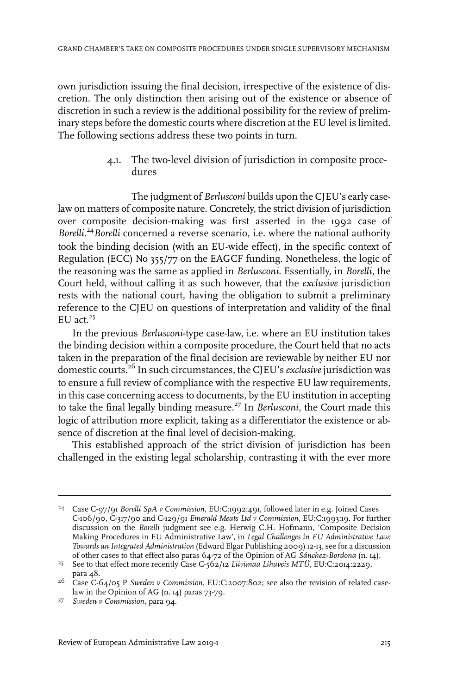own jurisdiction issuing the final decision, irrespective of the existence of discretion. The only distinction then arising out of the existence or absence of discretion in such a review is the additional possibility for the review of preliminary steps before the domestic courts where discretion at the EU level is limited. The following sections address these two points in turn.

> 4.1. The two-level division of jurisdiction in composite procedures

The judgment of *Berlusconi* builds upon the CJEU's early caselaw on matters of composite nature. Concretely, the strict division of jurisdiction over composite decision-making was first asserted in the 1992 case of *Borelli*. <sup>24</sup>*Borelli* concerned a reverse scenario, i.e. where the national authority took the binding decision (with an EU-wide effect), in the specific context of Regulation (ECC) No 355/77 on the EAGCF funding. Nonetheless, the logic of the reasoning was the same as applied in *Berlusconi*. Essentially, in *Borelli*, the Court held, without calling it as such however, that the *exclusive* jurisdiction rests with the national court, having the obligation to submit a preliminary reference to the CJEU on questions of interpretation and validity of the final  $EU$  act.<sup>25</sup>

In the previous *Berlusconi*-type case-law, i.e. where an EU institution takes the binding decision within a composite procedure, the Court held that no acts taken in the preparation of the final decision are reviewable by neither EU nor domestic courts.<sup>26</sup> In such circumstances, the CJEU's *exclusive* jurisdiction was to ensure a full review of compliance with the respective EU law requirements, in this case concerning access to documents, by the EU institution in accepting to take the final legally binding measure.<sup>27</sup> In *Berlusconi*, the Court made this logic of attribution more explicit, taking as a differentiator the existence or absence of discretion at the final level of decision-making.

This established approach of the strict division of jurisdiction has been challenged in the existing legal scholarship, contrasting it with the ever more

Case C-97/91 *Borelli SpA v Commission*, EU:C:1992:491, followed later in e.g. Joined Cases <sup>24</sup> C-106/90, C-317/90 and C-129/91 *Emerald Meats Ltd v Commission*, EU:C:1993:19. For further discussion on the *Borelli* judgment see e.g. Herwig C.H. Hofmann, 'Composite Decision Making Procedures in EU Administrative Law', in *Legal Challenges in EU Administrative Law: Towards an Integrated Administration* (Edward Elgar Publishing 2009) 12-13, see for a discussion of other cases to that effect also paras 64-72 of the Opinion of AG *Sánchez*-*Bordona* (n. 14).

See to that effect more recently Case C-562/12 *Liivimaa Lihaveis MTÜ*, EU:C:2014:2229, <sup>25</sup> para 48.

<sup>&</sup>lt;sup>26</sup> Case C-64/05 P *Sweden v Commission*, EU:C:2007:802; see also the revision of related caselaw in the Opinion of AG (n. 14) paras 73-79.

*Sweden v Commission*, para 94. <sup>27</sup>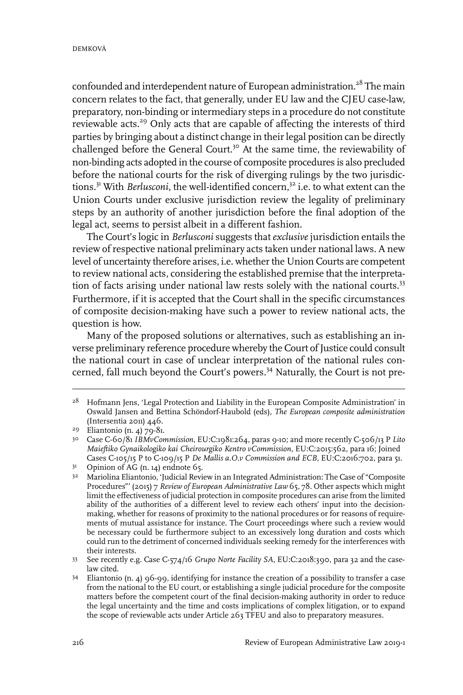confounded and interdependent nature of European administration.<sup>28</sup> The main concern relates to the fact, that generally, under EU law and the CJEU case-law, preparatory, non-binding or intermediary steps in a procedure do not constitute reviewable acts.<sup>29</sup> Only acts that are capable of affecting the interests of third parties by bringing about a distinct change in their legal position can be directly challenged before the General Court.<sup>30</sup> At the same time, the reviewability of non-binding acts adopted in the course of composite procedures is also precluded before the national courts for the risk of diverging rulings by the two jurisdictions.<sup>31</sup> With *Berlusconi*, the well-identified concern.<sup>32</sup> i.e. to what extent can the Union Courts under exclusive jurisdiction review the legality of preliminary steps by an authority of another jurisdiction before the final adoption of the legal act, seems to persist albeit in a different fashion.

The Court's logic in *Berlusconi* suggests that *exclusive* jurisdiction entails the review of respective national preliminary acts taken under national laws. A new level of uncertainty therefore arises, i.e. whether the Union Courts are competent to review national acts, considering the established premise that the interpretation of facts arising under national law rests solely with the national courts.<sup>33</sup> Furthermore, if it is accepted that the Court shall in the specific circumstances of composite decision-making have such a power to review national acts, the question is how.

Many of the proposed solutions or alternatives, such as establishing an inverse preliminary reference procedure whereby the Court of Justice could consult the national court in case of unclear interpretation of the national rules concerned, fall much beyond the Court's powers.<sup>34</sup> Naturally, the Court is not pre-

<sup>&</sup>lt;sup>28</sup> Hofmann Jens, 'Legal Protection and Liability in the European Composite Administration' in Oswald Jansen and Bettina Schöndorf-Haubold (eds), *The European composite administration* (Intersentia 2011) 446.

<sup>&</sup>lt;sup>29</sup> Eliantonio (n. 4) 79-81.

Case C-60/81 *IBMvCommission*, EU:C:1981:264, paras 9-10; and more recently C-506/13 P *Lito* 30 *Maieftiko Gynaikologiko kai Cheirourgiko Kentro vCommission*, EU:C:2015:562, para 16; Joined Cases C-105/15 P to C-109/15 P *De Mallis a.O.v Commission and ECB*, EU:C:2016:702, para 51.

 $3<sup>1</sup>$  Opinion of AG (n. 14) endnote 65.

<sup>&</sup>lt;sup>32</sup> Mariolina Eliantonio, 'Judicial Review in an Integrated Administration: The Case of "Composite Procedures"' (2015) 7 *Review of European Administrative Law* 65, 78. Other aspects which might limit the effectiveness of judicial protection in composite procedures can arise from the limited ability of the authorities of a different level to review each others' input into the decisionmaking, whether for reasons of proximity to the national procedures or for reasons of requirements of mutual assistance for instance. The Court proceedings where such a review would be necessary could be furthermore subject to an excessively long duration and costs which could run to the detriment of concerned individuals seeking remedy for the interferences with their interests.

See recently e.g. Case C-574/16 *Grupo Norte Facility SA*, EU:C:2018:390, para 32 and the case-33 law cited.

Eliantonio (n. 4) 96-99, identifying for instance the creation of a possibility to transfer a case 34 from the national to the EU court, or establishing a single judicial procedure for the composite matters before the competent court of the final decision-making authority in order to reduce the legal uncertainty and the time and costs implications of complex litigation, or to expand the scope of reviewable acts under Article 263 TFEU and also to preparatory measures.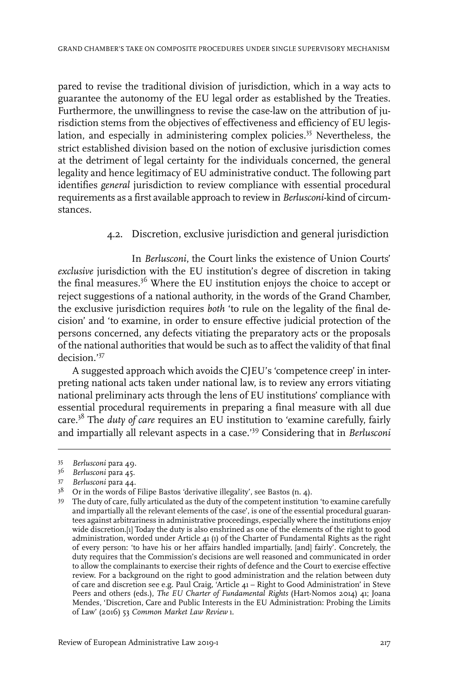pared to revise the traditional division of jurisdiction, which in a way acts to guarantee the autonomy of the EU legal order as established by the Treaties. Furthermore, the unwillingness to revise the case-law on the attribution of jurisdiction stems from the objectives of effectiveness and efficiency of EU legislation, and especially in administering complex policies.<sup>35</sup> Nevertheless, the strict established division based on the notion of exclusive jurisdiction comes at the detriment of legal certainty for the individuals concerned, the general legality and hence legitimacy of EU administrative conduct. The following part identifies *general* jurisdiction to review compliance with essential procedural requirements as a first available approach to review in *Berlusconi*-kind of circumstances.

#### 4.2. Discretion, exclusive jurisdiction and general jurisdiction

In *Berlusconi*, the Court links the existence of Union Courts' *exclusive* jurisdiction with the EU institution's degree of discretion in taking the final measures.<sup>36</sup> Where the EU institution enjoys the choice to accept or reject suggestions of a national authority, in the words of the Grand Chamber, the exclusive jurisdiction requires *both* 'to rule on the legality of the final decision' and 'to examine, in order to ensure effective judicial protection of the persons concerned, any defects vitiating the preparatory acts or the proposals of the national authorities that would be such as to affect the validity of that final decision.'<sup>37</sup>

A suggested approach which avoids the CJEU's 'competence creep' in interpreting national acts taken under national law, is to review any errors vitiating national preliminary acts through the lens of EU institutions' compliance with essential procedural requirements in preparing a final measure with all due care.<sup>38</sup> The *duty of care* requires an EU institution to 'examine carefully, fairly and impartially all relevant aspects in a case.'<sup>39</sup> Considering that in *Berlusconi*

*Berlusconi* para 49. <sup>35</sup>

<sup>&</sup>lt;sup>36</sup> Berlusconi para 45.

<sup>&</sup>lt;sup>37</sup> Berlusconi para 44.

 $3^8$  Or in the words of Filipe Bastos 'derivative illegality', see Bastos (n. 4).

The duty of care, fully articulated as the duty of the competent institution 'to examine carefully 39 and impartially all the relevant elements of the case', is one of the essential procedural guarantees against arbitrariness in administrative proceedings, especially where the institutions enjoy wide discretion.[1] Today the duty is also enshrined as one of the elements of the right to good administration, worded under Article 41 (1) of the Charter of Fundamental Rights as the right of every person: 'to have his or her affairs handled impartially, [and] fairly'. Concretely, the duty requires that the Commission's decisions are well reasoned and communicated in order to allow the complainants to exercise their rights of defence and the Court to exercise effective review. For a background on the right to good administration and the relation between duty of care and discretion see e.g. Paul Craig, 'Article 41 – Right to Good Administration' in Steve Peers and others (eds.), *The EU Charter of Fundamental Rights* (Hart-Nomos 2014) 41; Joana Mendes, 'Discretion, Care and Public Interests in the EU Administration: Probing the Limits of Law' (2016) 53 *Common Market Law Review* 1.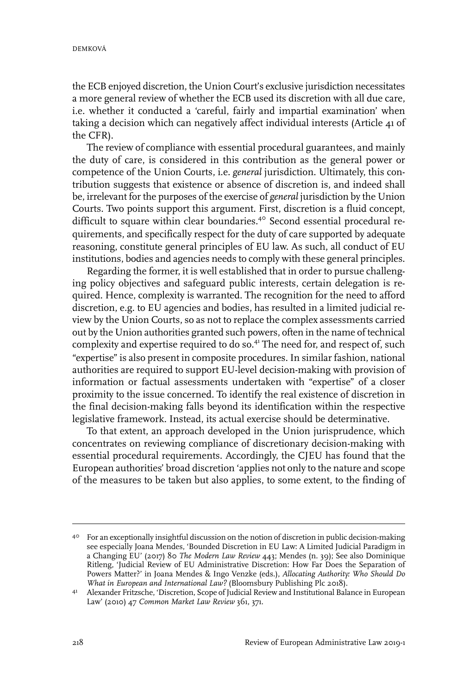the ECB enjoyed discretion, the Union Court's exclusive jurisdiction necessitates a more general review of whether the ECB used its discretion with all due care, i.e. whether it conducted a 'careful, fairly and impartial examination' when taking a decision which can negatively affect individual interests (Article 41 of the CFR).

The review of compliance with essential procedural guarantees, and mainly the duty of care, is considered in this contribution as the general power or competence of the Union Courts, i.e. *general* jurisdiction. Ultimately, this contribution suggests that existence or absence of discretion is, and indeed shall be, irrelevant for the purposes of the exercise of *general* jurisdiction by the Union Courts. Two points support this argument. First, discretion is a fluid concept, difficult to square within clear boundaries.<sup>40</sup> Second essential procedural requirements, and specifically respect for the duty of care supported by adequate reasoning, constitute general principles of EU law. As such, all conduct of EU institutions, bodies and agencies needs to comply with these general principles.

Regarding the former, it is well established that in order to pursue challenging policy objectives and safeguard public interests, certain delegation is required. Hence, complexity is warranted. The recognition for the need to afford discretion, e.g. to EU agencies and bodies, has resulted in a limited judicial review by the Union Courts, so as not to replace the complex assessments carried out by the Union authorities granted such powers, often in the name of technical complexity and expertise required to do so.<sup>41</sup> The need for, and respect of, such "expertise" is also present in composite procedures. In similar fashion, national authorities are required to support EU-level decision-making with provision of information or factual assessments undertaken with "expertise" of a closer proximity to the issue concerned. To identify the real existence of discretion in the final decision-making falls beyond its identification within the respective legislative framework. Instead, its actual exercise should be determinative.

To that extent, an approach developed in the Union jurisprudence, which concentrates on reviewing compliance of discretionary decision-making with essential procedural requirements. Accordingly, the CJEU has found that the European authorities' broad discretion 'applies not only to the nature and scope of the measures to be taken but also applies, to some extent, to the finding of

<sup>40</sup> For an exceptionally insightful discussion on the notion of discretion in public decision-making see especially Joana Mendes, 'Bounded Discretion in EU Law: A Limited Judicial Paradigm in a Changing EU' (2017) 80 *The Modern Law Review* 443; Mendes (n. 39); See also Dominique Ritleng, 'Judicial Review of EU Administrative Discretion: How Far Does the Separation of Powers Matter?' in Joana Mendes & Ingo Venzke (eds.), *Allocating Authority: Who Should Do What in European and International Law?* (Bloomsbury Publishing Plc 2018).

<sup>&</sup>lt;sup>41</sup> Alexander Fritzsche, 'Discretion, Scope of Judicial Review and Institutional Balance in European Law' (2010) 47 *Common Market Law Review* 361, 371.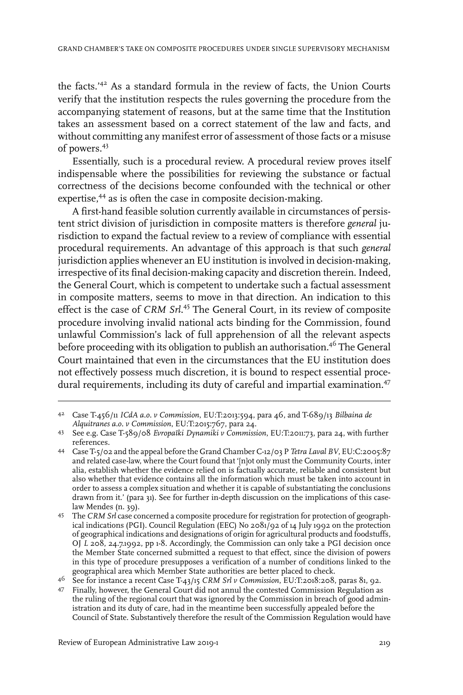the facts.'<sup>42</sup> As a standard formula in the review of facts, the Union Courts verify that the institution respects the rules governing the procedure from the accompanying statement of reasons, but at the same time that the Institution takes an assessment based on a correct statement of the law and facts, and without committing any manifest error of assessment of those facts or a misuse of powers.<sup>43</sup>

Essentially, such is a procedural review. A procedural review proves itself indispensable where the possibilities for reviewing the substance or factual correctness of the decisions become confounded with the technical or other expertise,<sup>44</sup> as is often the case in composite decision-making.

A first-hand feasible solution currently available in circumstances of persistent strict division of jurisdiction in composite matters is therefore *general* jurisdiction to expand the factual review to a review of compliance with essential procedural requirements. An advantage of this approach is that such *general* jurisdiction applies whenever an EU institution is involved in decision-making, irrespective of its final decision-making capacity and discretion therein. Indeed, the General Court, which is competent to undertake such a factual assessment in composite matters, seems to move in that direction. An indication to this effect is the case of *CRM Srl*. <sup>45</sup> The General Court, in its review of composite procedure involving invalid national acts binding for the Commission, found unlawful Commission's lack of full apprehension of all the relevant aspects before proceeding with its obligation to publish an authorisation.<sup>46</sup> The General Court maintained that even in the circumstances that the EU institution does not effectively possess much discretion, it is bound to respect essential procedural requirements, including its duty of careful and impartial examination.<sup>47</sup>

Case T-456/11 *ICdA a.o. v Commission*, EU:T:2013:594, para 46, and T-689/13 *Bilbaina de* 42 *Alquitranes a.o. v Commission*, EU:T:2015:767, para 24.

See e.g. Case T-589/08 *Evropaïki Dynamiki v Commission*, EU:T:2011:73, para 24, with further 43 references.

Case T-5/02 and the appeal before the Grand Chamber C-12/03 P *Tetra Laval BV*, EU:C:2005:87 44 and related case-law, where the Court found that '[n]ot only must the Community Courts, inter alia, establish whether the evidence relied on is factually accurate, reliable and consistent but also whether that evidence contains all the information which must be taken into account in order to assess a complex situation and whether it is capable of substantiating the conclusions drawn from it.' (para 31). See for further in-depth discussion on the implications of this caselaw Mendes (n. 39).

The *CRM Srl* case concerned a composite procedure for registration for protection of geograph-45 ical indications (PGI). Council Regulation (EEC) No 2081/92 of 14 July 1992 on the protection of geographical indications and designations of origin for agricultural products and foodstuffs, OJ *L* 208, 24.7.1992, pp 1-8. Accordingly, the Commission can only take a PGI decision once the Member State concerned submitted a request to that effect, since the division of powers in this type of procedure presupposes a verification of a number of conditions linked to the geographical area which Member State authorities are better placed to check.

See for instance a recent Case T-43/15 *CRM Srl v Commission*, EU:T:2018:208, paras 81, 92. <sup>46</sup>

Finally, however, the General Court did not annul the contested Commission Regulation as 47 the ruling of the regional court that was ignored by the Commission in breach of good administration and its duty of care, had in the meantime been successfully appealed before the Council of State. Substantively therefore the result of the Commission Regulation would have